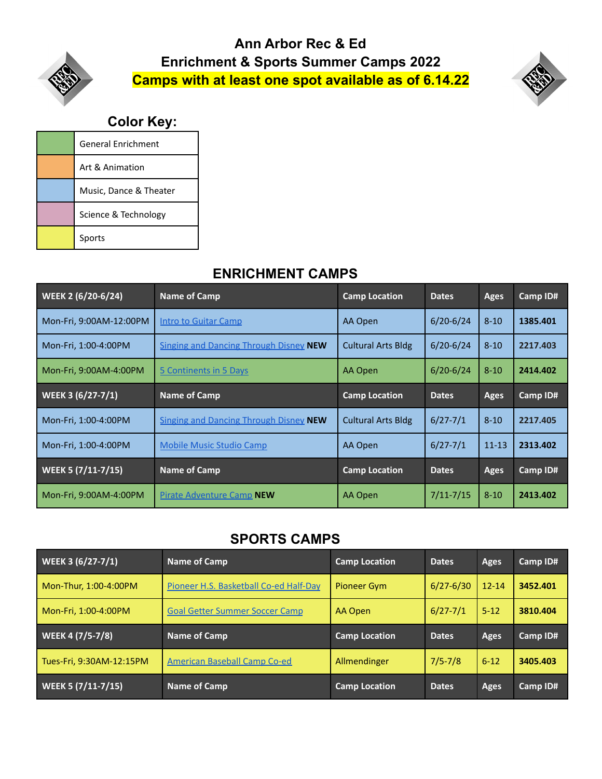## **Ann Arbor Rec & Ed Enrichment & Sports Summer Camps 2022 Camps with at least one spot available as of 6.14.22**



## **Color Key:**

| <b>General Enrichment</b> |
|---------------------------|
| Art & Animation           |
| Music, Dance & Theater    |
| Science & Technology      |
| Sports                    |

## **ENRICHMENT CAMPS**

| WEEK 2 $\left(\frac{6}{20-6}{24}\right)$ | <b>Name of Camp</b>                           | <b>Camp Location</b>      | <b>Dates</b>  | <b>Ages</b> | Camp ID# |
|------------------------------------------|-----------------------------------------------|---------------------------|---------------|-------------|----------|
| Mon-Fri, 9:00AM-12:00PM                  | <b>Intro to Guitar Camp</b>                   | AA Open                   | $6/20 - 6/24$ | $8 - 10$    | 1385.401 |
| Mon-Fri, 1:00-4:00PM                     | <b>Singing and Dancing Through Disney NEW</b> | <b>Cultural Arts Bldg</b> | $6/20 - 6/24$ | $8 - 10$    | 2217.403 |
| Mon-Fri, 9:00AM-4:00PM                   | 5 Continents in 5 Days                        | AA Open                   | $6/20 - 6/24$ | $8 - 10$    | 2414.402 |
| WEEK 3 (6/27-7/1)                        | Name of Camp                                  | <b>Camp Location</b>      | <b>Dates</b>  | <b>Ages</b> | Camp ID# |
| Mon-Fri, 1:00-4:00PM                     | <b>Singing and Dancing Through Disney NEW</b> | <b>Cultural Arts Bldg</b> | $6/27 - 7/1$  | $8 - 10$    | 2217.405 |
| Mon-Fri, 1:00-4:00PM                     | <b>Mobile Music Studio Camp</b>               | AA Open                   | $6/27 - 7/1$  | $11 - 13$   | 2313.402 |
| <b>WEEK 5 (7/11-7/15)</b>                | <b>Name of Camp</b>                           | <b>Camp Location</b>      | <b>Dates</b>  | <b>Ages</b> | Camp ID# |
| Mon-Fri, 9:00AM-4:00PM                   | <b>Pirate Adventure Camp NEW</b>              | AA Open                   | $7/11 - 7/15$ | $8 - 10$    | 2413.402 |

## **SPORTS CAMPS**

| WEEK 3 (6/27-7/1)        | Name of Camp                           | <b>Camp Location</b> | <b>Dates</b>  | <b>Ages</b> | Camp ID# |
|--------------------------|----------------------------------------|----------------------|---------------|-------------|----------|
| Mon-Thur, 1:00-4:00PM    | Pioneer H.S. Basketball Co-ed Half-Day | Pioneer Gym          | $6/27 - 6/30$ | $12 - 14$   | 3452.401 |
| Mon-Fri, 1:00-4:00PM     | <b>Goal Getter Summer Soccer Camp</b>  | AA Open              | $6/27 - 7/1$  | $5 - 12$    | 3810.404 |
|                          |                                        |                      |               |             |          |
| WEEK 4 (7/5-7/8)         | <b>Name of Camp</b>                    | <b>Camp Location</b> | <b>Dates</b>  | Ages        | Camp ID# |
| Tues-Fri, 9:30AM-12:15PM | American Baseball Camp Co-ed           | Allmendinger         | $7/5 - 7/8$   | $6 - 12$    | 3405.403 |